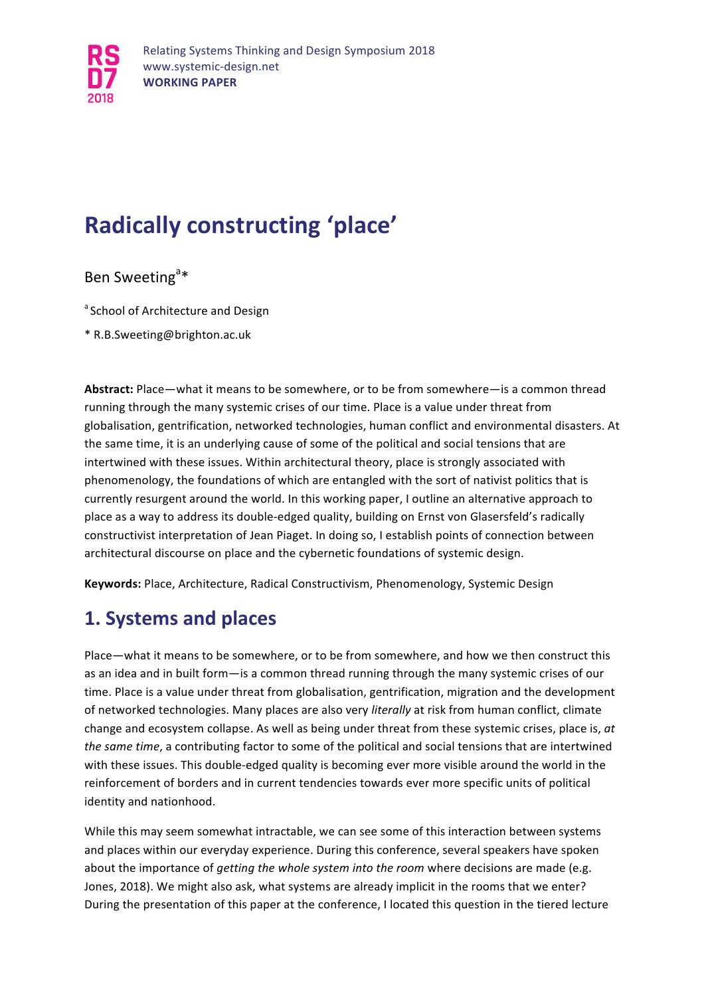# **Radically constructing 'place'**

#### Ben Sweeting<sup>a\*</sup>

- <sup>a</sup> School of Architecture and Design
- \* R.B.Sweeting@brighton.ac.uk

Abstract: Place—what it means to be somewhere, or to be from somewhere—is a common thread running through the many systemic crises of our time. Place is a value under threat from globalisation, gentrification, networked technologies, human conflict and environmental disasters. At the same time, it is an underlying cause of some of the political and social tensions that are intertwined with these issues. Within architectural theory, place is strongly associated with phenomenology, the foundations of which are entangled with the sort of nativist politics that is currently resurgent around the world. In this working paper, I outline an alternative approach to place as a way to address its double-edged quality, building on Ernst von Glasersfeld's radically constructivist interpretation of Jean Piaget. In doing so, I establish points of connection between architectural discourse on place and the cybernetic foundations of systemic design.

**Keywords:** Place, Architecture, Radical Constructivism, Phenomenology, Systemic Design

# **1. Systems and places**

Place—what it means to be somewhere, or to be from somewhere, and how we then construct this as an idea and in built form—is a common thread running through the many systemic crises of our time. Place is a value under threat from globalisation, gentrification, migration and the development of networked technologies. Many places are also very *literally* at risk from human conflict, climate change and ecosystem collapse. As well as being under threat from these systemic crises, place is, at *the same time*, a contributing factor to some of the political and social tensions that are intertwined with these issues. This double-edged quality is becoming ever more visible around the world in the reinforcement of borders and in current tendencies towards ever more specific units of political identity and nationhood.

While this may seem somewhat intractable, we can see some of this interaction between systems and places within our everyday experience. During this conference, several speakers have spoken about the importance of *getting the whole system into the room* where decisions are made (e.g. Jones, 2018). We might also ask, what systems are already implicit in the rooms that we enter? During the presentation of this paper at the conference, I located this question in the tiered lecture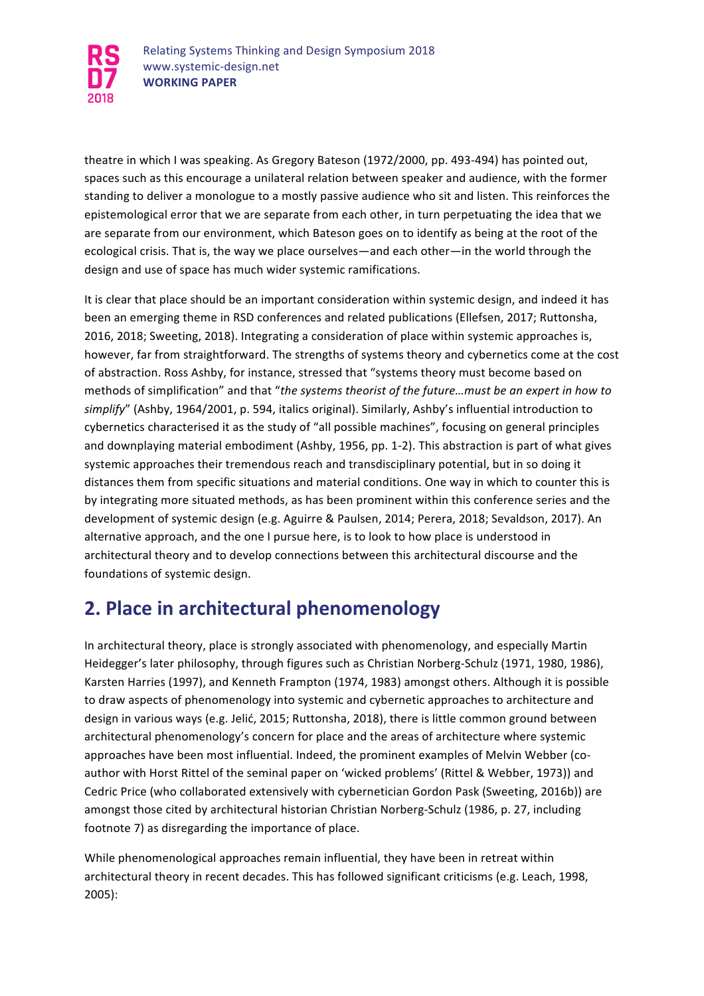

theatre in which I was speaking. As Gregory Bateson (1972/2000, pp. 493-494) has pointed out, spaces such as this encourage a unilateral relation between speaker and audience, with the former standing to deliver a monologue to a mostly passive audience who sit and listen. This reinforces the epistemological error that we are separate from each other, in turn perpetuating the idea that we are separate from our environment, which Bateson goes on to identify as being at the root of the ecological crisis. That is, the way we place ourselves—and each other—in the world through the design and use of space has much wider systemic ramifications.

It is clear that place should be an important consideration within systemic design, and indeed it has been an emerging theme in RSD conferences and related publications (Ellefsen, 2017; Ruttonsha, 2016, 2018; Sweeting, 2018). Integrating a consideration of place within systemic approaches is, however, far from straightforward. The strengths of systems theory and cybernetics come at the cost of abstraction. Ross Ashby, for instance, stressed that "systems theory must become based on methods of simplification" and that "the systems theorist of the future...must be an expert in how to simplify" (Ashby, 1964/2001, p. 594, italics original). Similarly, Ashby's influential introduction to cybernetics characterised it as the study of "all possible machines", focusing on general principles and downplaying material embodiment (Ashby, 1956, pp. 1-2). This abstraction is part of what gives systemic approaches their tremendous reach and transdisciplinary potential, but in so doing it distances them from specific situations and material conditions. One way in which to counter this is by integrating more situated methods, as has been prominent within this conference series and the development of systemic design (e.g. Aguirre & Paulsen, 2014; Perera, 2018; Sevaldson, 2017). An alternative approach, and the one I pursue here, is to look to how place is understood in architectural theory and to develop connections between this architectural discourse and the foundations of systemic design.

# **2. Place in architectural phenomenology**

In architectural theory, place is strongly associated with phenomenology, and especially Martin Heidegger's later philosophy, through figures such as Christian Norberg-Schulz (1971, 1980, 1986), Karsten Harries (1997), and Kenneth Frampton (1974, 1983) amongst others. Although it is possible to draw aspects of phenomenology into systemic and cybernetic approaches to architecture and design in various ways (e.g. Jelić, 2015; Ruttonsha, 2018), there is little common ground between architectural phenomenology's concern for place and the areas of architecture where systemic approaches have been most influential. Indeed, the prominent examples of Melvin Webber (coauthor with Horst Rittel of the seminal paper on 'wicked problems' (Rittel & Webber, 1973)) and Cedric Price (who collaborated extensively with cybernetician Gordon Pask (Sweeting, 2016b)) are amongst those cited by architectural historian Christian Norberg-Schulz (1986, p. 27, including footnote 7) as disregarding the importance of place.

While phenomenological approaches remain influential, they have been in retreat within architectural theory in recent decades. This has followed significant criticisms (e.g. Leach, 1998, 2005):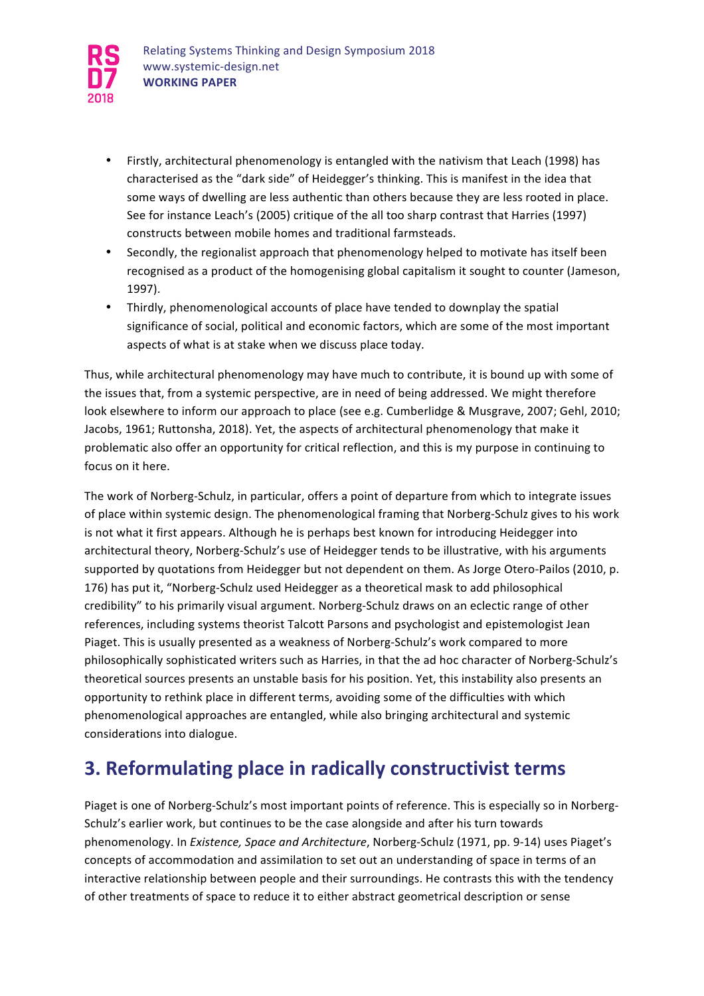

- Firstly, architectural phenomenology is entangled with the nativism that Leach (1998) has characterised as the "dark side" of Heidegger's thinking. This is manifest in the idea that some ways of dwelling are less authentic than others because they are less rooted in place. See for instance Leach's (2005) critique of the all too sharp contrast that Harries (1997) constructs between mobile homes and traditional farmsteads.
- Secondly, the regionalist approach that phenomenology helped to motivate has itself been recognised as a product of the homogenising global capitalism it sought to counter (Jameson, 1997).
- Thirdly, phenomenological accounts of place have tended to downplay the spatial significance of social, political and economic factors, which are some of the most important aspects of what is at stake when we discuss place today.

Thus, while architectural phenomenology may have much to contribute, it is bound up with some of the issues that, from a systemic perspective, are in need of being addressed. We might therefore look elsewhere to inform our approach to place (see e.g. Cumberlidge & Musgrave, 2007; Gehl, 2010; Jacobs, 1961; Ruttonsha, 2018). Yet, the aspects of architectural phenomenology that make it problematic also offer an opportunity for critical reflection, and this is my purpose in continuing to focus on it here.

The work of Norberg-Schulz, in particular, offers a point of departure from which to integrate issues of place within systemic design. The phenomenological framing that Norberg-Schulz gives to his work is not what it first appears. Although he is perhaps best known for introducing Heidegger into architectural theory, Norberg-Schulz's use of Heidegger tends to be illustrative, with his arguments supported by quotations from Heidegger but not dependent on them. As Jorge Otero-Pailos (2010, p. 176) has put it, "Norberg-Schulz used Heidegger as a theoretical mask to add philosophical credibility" to his primarily visual argument. Norberg-Schulz draws on an eclectic range of other references, including systems theorist Talcott Parsons and psychologist and epistemologist Jean Piaget. This is usually presented as a weakness of Norberg-Schulz's work compared to more philosophically sophisticated writers such as Harries, in that the ad hoc character of Norberg-Schulz's theoretical sources presents an unstable basis for his position. Yet, this instability also presents an opportunity to rethink place in different terms, avoiding some of the difficulties with which phenomenological approaches are entangled, while also bringing architectural and systemic considerations into dialogue.

# **3. Reformulating place in radically constructivist terms**

Piaget is one of Norberg-Schulz's most important points of reference. This is especially so in Norberg-Schulz's earlier work, but continues to be the case alongside and after his turn towards phenomenology. In *Existence, Space and Architecture*, Norberg-Schulz (1971, pp. 9-14) uses Piaget's concepts of accommodation and assimilation to set out an understanding of space in terms of an interactive relationship between people and their surroundings. He contrasts this with the tendency of other treatments of space to reduce it to either abstract geometrical description or sense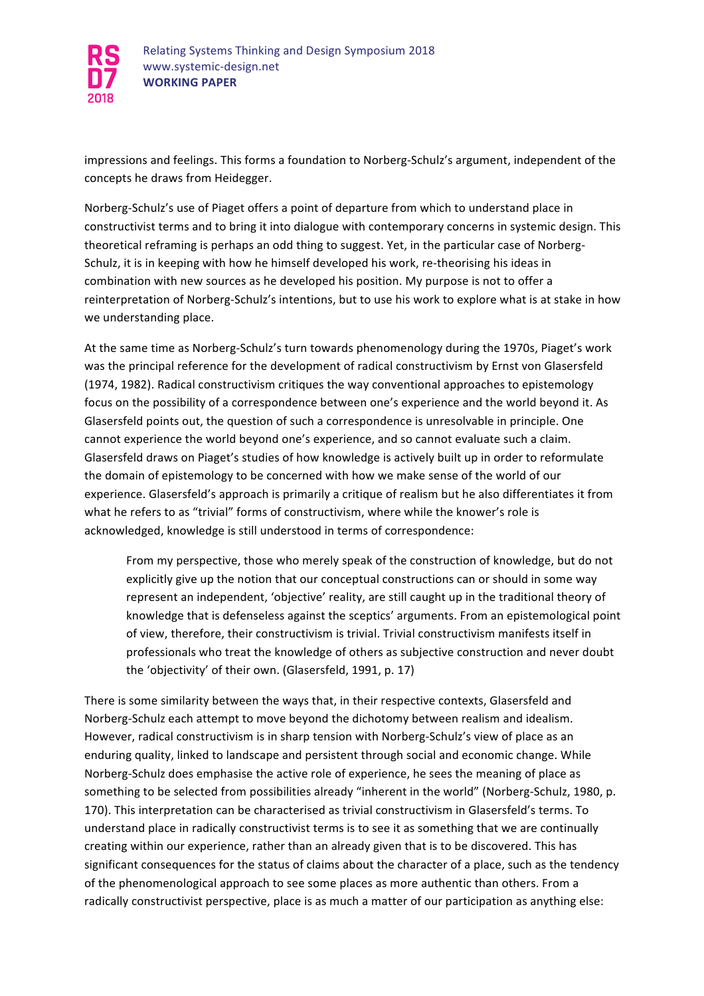

impressions and feelings. This forms a foundation to Norberg-Schulz's argument, independent of the concepts he draws from Heidegger.

Norberg-Schulz's use of Piaget offers a point of departure from which to understand place in constructivist terms and to bring it into dialogue with contemporary concerns in systemic design. This theoretical reframing is perhaps an odd thing to suggest. Yet, in the particular case of Norberg-Schulz, it is in keeping with how he himself developed his work, re-theorising his ideas in combination with new sources as he developed his position. My purpose is not to offer a reinterpretation of Norberg-Schulz's intentions, but to use his work to explore what is at stake in how we understanding place.

At the same time as Norberg-Schulz's turn towards phenomenology during the 1970s, Piaget's work was the principal reference for the development of radical constructivism by Ernst von Glasersfeld (1974, 1982). Radical constructivism critiques the way conventional approaches to epistemology focus on the possibility of a correspondence between one's experience and the world beyond it. As Glasersfeld points out, the question of such a correspondence is unresolvable in principle. One cannot experience the world beyond one's experience, and so cannot evaluate such a claim. Glasersfeld draws on Piaget's studies of how knowledge is actively built up in order to reformulate the domain of epistemology to be concerned with how we make sense of the world of our experience. Glasersfeld's approach is primarily a critique of realism but he also differentiates it from what he refers to as "trivial" forms of constructivism, where while the knower's role is acknowledged, knowledge is still understood in terms of correspondence:

From my perspective, those who merely speak of the construction of knowledge, but do not explicitly give up the notion that our conceptual constructions can or should in some way represent an independent, 'objective' reality, are still caught up in the traditional theory of knowledge that is defenseless against the sceptics' arguments. From an epistemological point of view, therefore, their constructivism is trivial. Trivial constructivism manifests itself in professionals who treat the knowledge of others as subjective construction and never doubt the 'objectivity' of their own. (Glasersfeld, 1991, p. 17)

There is some similarity between the ways that, in their respective contexts, Glasersfeld and Norberg-Schulz each attempt to move beyond the dichotomy between realism and idealism. However, radical constructivism is in sharp tension with Norberg-Schulz's view of place as an enduring quality, linked to landscape and persistent through social and economic change. While Norberg-Schulz does emphasise the active role of experience, he sees the meaning of place as something to be selected from possibilities already "inherent in the world" (Norberg-Schulz, 1980, p. 170). This interpretation can be characterised as trivial constructivism in Glasersfeld's terms. To understand place in radically constructivist terms is to see it as something that we are continually creating within our experience, rather than an already given that is to be discovered. This has significant consequences for the status of claims about the character of a place, such as the tendency of the phenomenological approach to see some places as more authentic than others. From a radically constructivist perspective, place is as much a matter of our participation as anything else: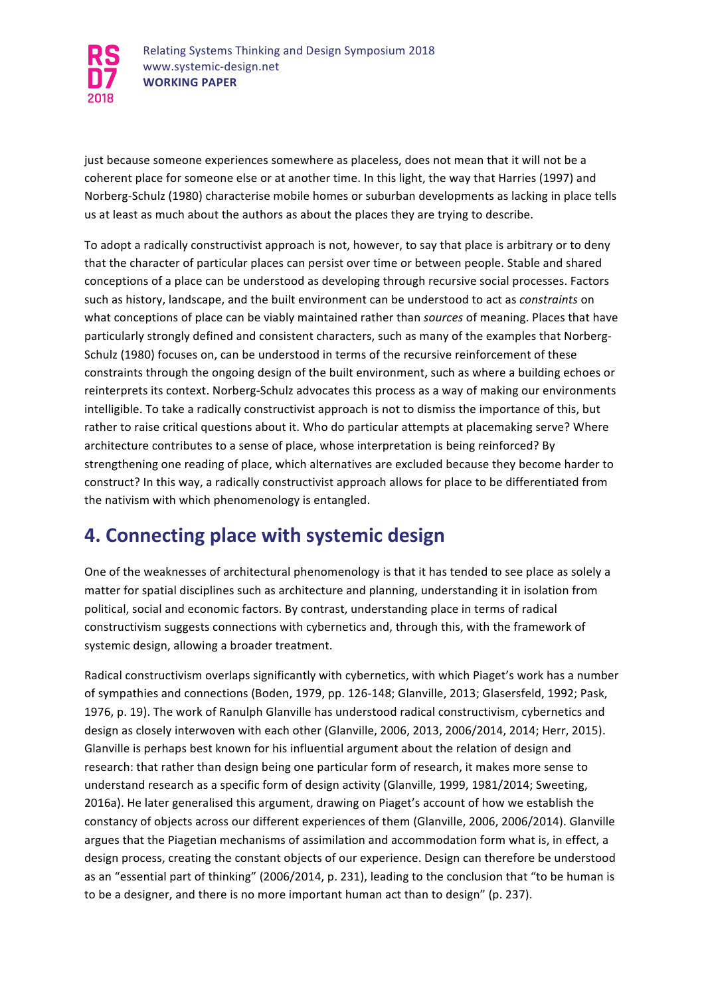

just because someone experiences somewhere as placeless, does not mean that it will not be a coherent place for someone else or at another time. In this light, the way that Harries (1997) and Norberg-Schulz (1980) characterise mobile homes or suburban developments as lacking in place tells us at least as much about the authors as about the places they are trying to describe.

To adopt a radically constructivist approach is not, however, to say that place is arbitrary or to deny that the character of particular places can persist over time or between people. Stable and shared conceptions of a place can be understood as developing through recursive social processes. Factors such as history, landscape, and the built environment can be understood to act as *constraints* on what conceptions of place can be viably maintained rather than *sources* of meaning. Places that have particularly strongly defined and consistent characters, such as many of the examples that Norberg-Schulz (1980) focuses on, can be understood in terms of the recursive reinforcement of these constraints through the ongoing design of the built environment, such as where a building echoes or reinterprets its context. Norberg-Schulz advocates this process as a way of making our environments intelligible. To take a radically constructivist approach is not to dismiss the importance of this, but rather to raise critical questions about it. Who do particular attempts at placemaking serve? Where architecture contributes to a sense of place, whose interpretation is being reinforced? By strengthening one reading of place, which alternatives are excluded because they become harder to construct? In this way, a radically constructivist approach allows for place to be differentiated from the nativism with which phenomenology is entangled.

#### **4. Connecting place with systemic design**

One of the weaknesses of architectural phenomenology is that it has tended to see place as solely a matter for spatial disciplines such as architecture and planning, understanding it in isolation from political, social and economic factors. By contrast, understanding place in terms of radical constructivism suggests connections with cybernetics and, through this, with the framework of systemic design, allowing a broader treatment.

Radical constructivism overlaps significantly with cybernetics, with which Piaget's work has a number of sympathies and connections (Boden, 1979, pp. 126-148; Glanville, 2013; Glasersfeld, 1992; Pask, 1976, p. 19). The work of Ranulph Glanville has understood radical constructivism, cybernetics and design as closely interwoven with each other (Glanville, 2006, 2013, 2006/2014, 2014; Herr, 2015). Glanville is perhaps best known for his influential argument about the relation of design and research: that rather than design being one particular form of research, it makes more sense to understand research as a specific form of design activity (Glanville, 1999, 1981/2014; Sweeting, 2016a). He later generalised this argument, drawing on Piaget's account of how we establish the constancy of objects across our different experiences of them (Glanville, 2006, 2006/2014). Glanville argues that the Piagetian mechanisms of assimilation and accommodation form what is, in effect, a design process, creating the constant objects of our experience. Design can therefore be understood as an "essential part of thinking" (2006/2014, p. 231), leading to the conclusion that "to be human is to be a designer, and there is no more important human act than to design" (p. 237).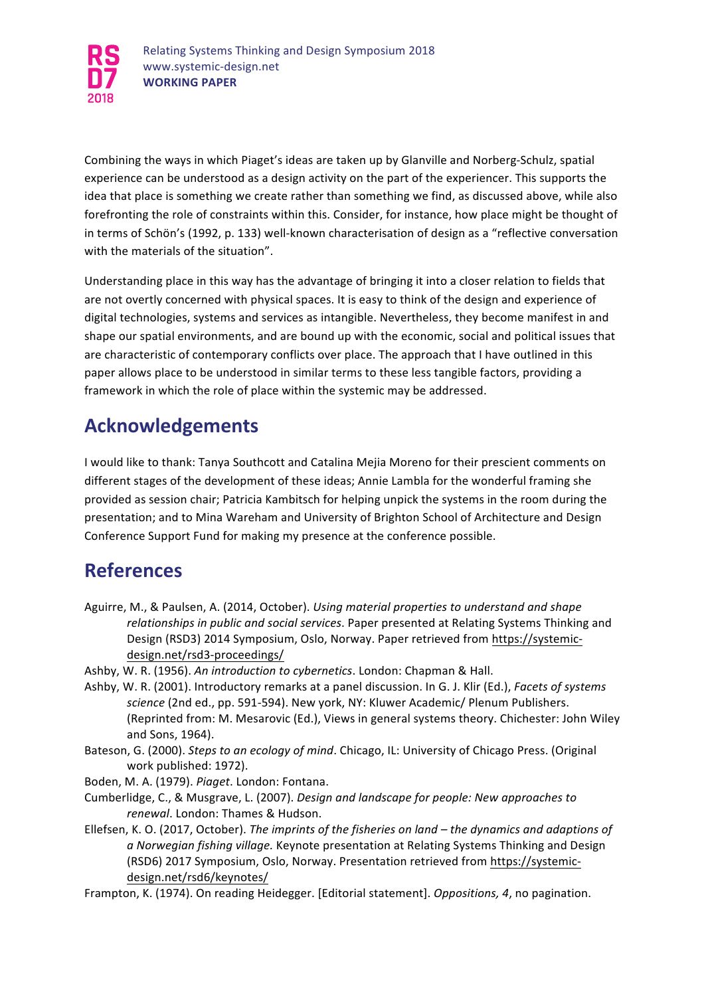

Combining the ways in which Piaget's ideas are taken up by Glanville and Norberg-Schulz, spatial experience can be understood as a design activity on the part of the experiencer. This supports the idea that place is something we create rather than something we find, as discussed above, while also forefronting the role of constraints within this. Consider, for instance, how place might be thought of in terms of Schön's (1992, p. 133) well-known characterisation of design as a "reflective conversation with the materials of the situation".

Understanding place in this way has the advantage of bringing it into a closer relation to fields that are not overtly concerned with physical spaces. It is easy to think of the design and experience of digital technologies, systems and services as intangible. Nevertheless, they become manifest in and shape our spatial environments, and are bound up with the economic, social and political issues that are characteristic of contemporary conflicts over place. The approach that I have outlined in this paper allows place to be understood in similar terms to these less tangible factors, providing a framework in which the role of place within the systemic may be addressed.

#### **Acknowledgements**

I would like to thank: Tanya Southcott and Catalina Mejia Moreno for their prescient comments on different stages of the development of these ideas; Annie Lambla for the wonderful framing she provided as session chair; Patricia Kambitsch for helping unpick the systems in the room during the presentation; and to Mina Wareham and University of Brighton School of Architecture and Design Conference Support Fund for making my presence at the conference possible.

#### **References**

- Aguirre, M., & Paulsen, A. (2014, October). *Using material properties to understand and shape* relationships in public and social services. Paper presented at Relating Systems Thinking and Design (RSD3) 2014 Symposium, Oslo, Norway. Paper retrieved from https://systemicdesign.net/rsd3-proceedings/
- Ashby, W. R. (1956). An introduction to cybernetics. London: Chapman & Hall.
- Ashby, W. R. (2001). Introductory remarks at a panel discussion. In G. J. Klir (Ed.), *Facets of systems science* (2nd ed., pp. 591-594). New york, NY: Kluwer Academic/ Plenum Publishers. (Reprinted from: M. Mesarovic (Ed.), Views in general systems theory. Chichester: John Wiley and Sons, 1964).
- Bateson, G. (2000). *Steps to an ecology of mind*. Chicago, IL: University of Chicago Press. (Original work published: 1972).
- Boden, M. A. (1979). Piaget. London: Fontana.
- Cumberlidge, C., & Musgrave, L. (2007). *Design and landscape for people: New approaches to renewal*. London: Thames & Hudson.
- Ellefsen, K. O. (2017, October). *The imprints of the fisheries on land the dynamics and adaptions of* a Norwegian fishing village. Keynote presentation at Relating Systems Thinking and Design (RSD6) 2017 Symposium, Oslo, Norway. Presentation retrieved from https://systemicdesign.net/rsd6/keynotes/
- Frampton, K. (1974). On reading Heidegger. [Editorial statement]. *Oppositions, 4*, no pagination.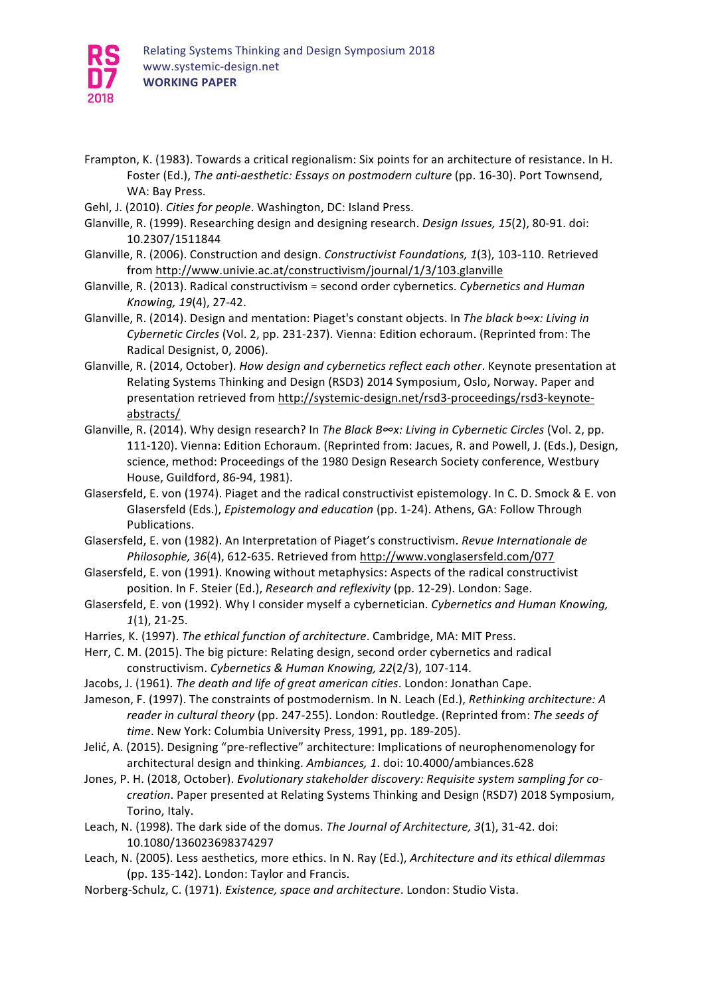

- Frampton, K. (1983). Towards a critical regionalism: Six points for an architecture of resistance. In H. Foster (Ed.), The anti-aesthetic: Essays on postmodern culture (pp. 16-30). Port Townsend, WA: Bay Press.
- Gehl, J. (2010). *Cities for people*. Washington, DC: Island Press.
- Glanville, R. (1999). Researching design and designing research. *Design Issues, 15*(2), 80-91. doi: 10.2307/1511844
- Glanville, R. (2006). Construction and design. *Constructivist Foundations, 1*(3), 103-110. Retrieved from http://www.univie.ac.at/constructivism/journal/1/3/103.glanville
- Glanville, R. (2013). Radical constructivism = second order cybernetics. Cybernetics and Human *Knowing, 19*(4), 27-42.
- Glanville, R. (2014). Design and mentation: Piaget's constant objects. In *The black b∞x: Living in Cybernetic Circles* (Vol. 2, pp. 231-237). Vienna: Edition echoraum. (Reprinted from: The Radical Designist, 0, 2006).
- Glanville, R. (2014, October). *How design and cybernetics reflect each other*. Keynote presentation at Relating Systems Thinking and Design (RSD3) 2014 Symposium, Oslo, Norway. Paper and presentation retrieved from http://systemic-design.net/rsd3-proceedings/rsd3-keynoteabstracts/
- Glanville, R. (2014). Why design research? In *The Black B∞x: Living in Cybernetic Circles* (Vol. 2, pp. 111-120). Vienna: Edition Echoraum. (Reprinted from: Jacues, R. and Powell, J. (Eds.), Design, science, method: Proceedings of the 1980 Design Research Society conference, Westbury House, Guildford, 86-94, 1981).
- Glasersfeld, E. von (1974). Piaget and the radical constructivist epistemology. In C. D. Smock & E. von Glasersfeld (Eds.), *Epistemology and education* (pp. 1-24). Athens, GA: Follow Through Publications.
- Glasersfeld, E. von (1982). An Interpretation of Piaget's constructivism. Revue Internationale de *Philosophie, 36*(4), 612-635. Retrieved from http://www.vonglasersfeld.com/077
- Glasersfeld, E. von (1991). Knowing without metaphysics: Aspects of the radical constructivist position. In F. Steier (Ed.), *Research and reflexivity* (pp. 12-29). London: Sage.
- Glasersfeld, E. von (1992). Why I consider myself a cybernetician. *Cybernetics and Human Knowing, 1*(1), 21-25.
- Harries, K. (1997). The ethical function of architecture. Cambridge, MA: MIT Press.
- Herr, C. M. (2015). The big picture: Relating design, second order cybernetics and radical constructivism. Cybernetics & Human Knowing, 22(2/3), 107-114.
- Jacobs, J. (1961). *The death and life of great american cities*. London: Jonathan Cape.
- Jameson, F. (1997). The constraints of postmodernism. In N. Leach (Ed.), Rethinking architecture: A reader in cultural theory (pp. 247-255). London: Routledge. (Reprinted from: The seeds of time. New York: Columbia University Press, 1991, pp. 189-205).
- Jelić, A. (2015). Designing "pre-reflective" architecture: Implications of neurophenomenology for architectural design and thinking. Ambiances, 1. doi: 10.4000/ambiances.628
- Jones, P. H. (2018, October). *Evolutionary stakeholder discovery: Requisite system sampling for cocreation*. Paper presented at Relating Systems Thinking and Design (RSD7) 2018 Symposium, Torino, Italy.
- Leach, N. (1998). The dark side of the domus. The Journal of Architecture, 3(1), 31-42. doi: 10.1080/136023698374297
- Leach, N. (2005). Less aesthetics, more ethics. In N. Ray (Ed.), *Architecture and its ethical dilemmas* (pp. 135-142). London: Taylor and Francis.
- Norberg-Schulz, C. (1971). *Existence, space and architecture*. London: Studio Vista.